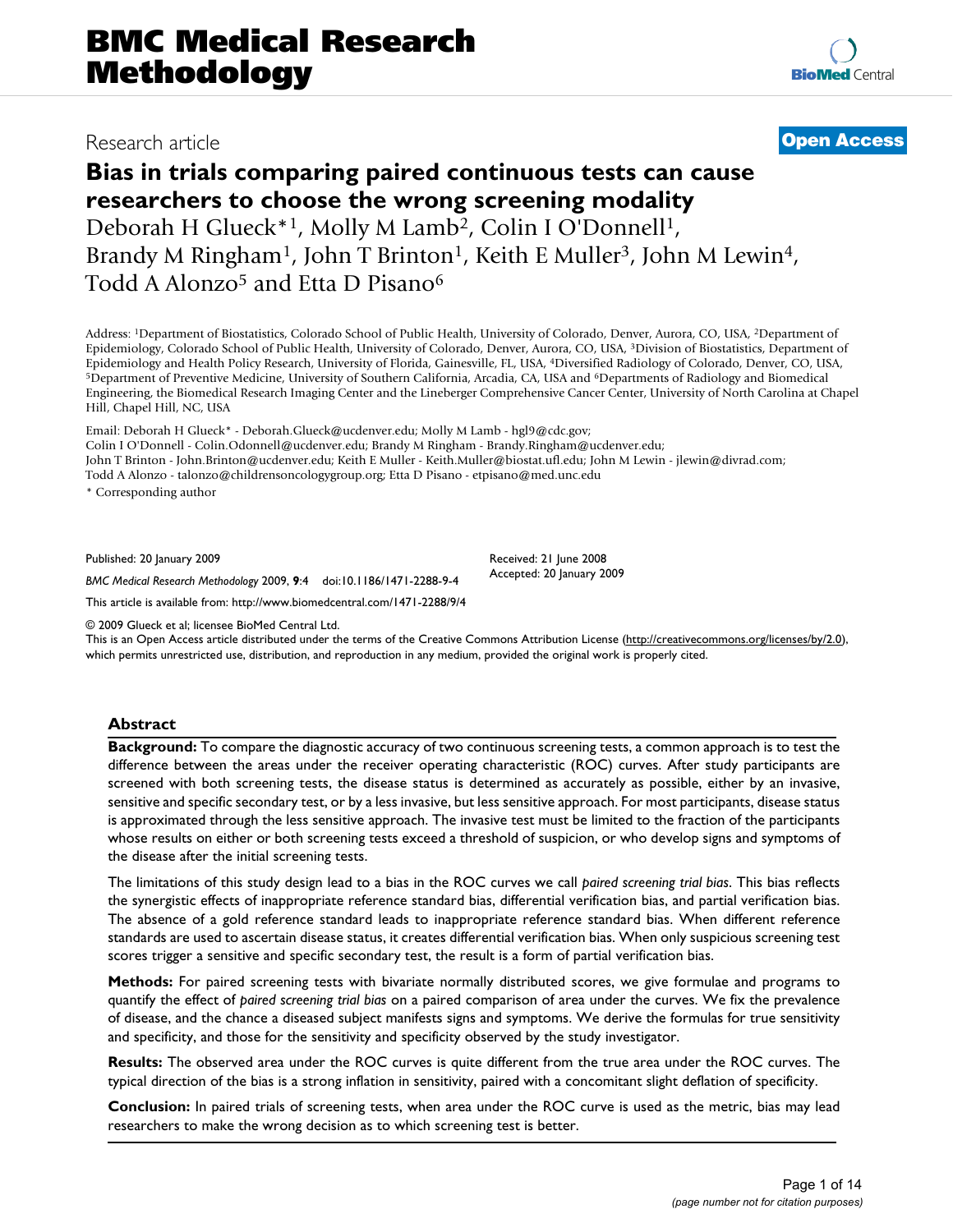# Research article **[Open Access](http://www.biomedcentral.com/info/about/charter/)**

# **Bias in trials comparing paired continuous tests can cause researchers to choose the wrong screening modality** Deborah H Glueck<sup>\*1</sup>, Molly M Lamb<sup>2</sup>, Colin I O'Donnell<sup>1</sup>, Brandy M Ringham<sup>1</sup>, John T Brinton<sup>1</sup>, Keith E Muller<sup>3</sup>, John M Lewin<sup>4</sup>, Todd A Alonzo<sup>5</sup> and Etta D Pisano<sup>6</sup>

Address: 1Department of Biostatistics, Colorado School of Public Health, University of Colorado, Denver, Aurora, CO, USA, 2Department of Epidemiology, Colorado School of Public Health, University of Colorado, Denver, Aurora, CO, USA, 3Division of Biostatistics, Department of Epidemiology and Health Policy Research, University of Florida, Gainesville, FL, USA, <sup>4</sup>Diversified Radiology of Colorado, Denver, CO, USA, 5Department of Preventive Medicine, University of Southern California, Arcadia, C Engineering, the Biomedical Research Imaging Center and the Lineberger Comprehensive Cancer Center, University of North Carolina at Chapel Hill, Chapel Hill, NC, USA

Email: Deborah H Glueck\* - Deborah.Glueck@ucdenver.edu; Molly M Lamb - hgl9@cdc.gov; Colin I O'Donnell - Colin.Odonnell@ucdenver.edu; Brandy M Ringham - Brandy.Ringham@ucdenver.edu; John T Brinton - John.Brinton@ucdenver.edu; Keith E Muller - Keith.Muller@biostat.ufl.edu; John M Lewin - jlewin@divrad.com; Todd A Alonzo - talonzo@childrensoncologygroup.org; Etta D Pisano - etpisano@med.unc.edu

\* Corresponding author

Published: 20 January 2009

*BMC Medical Research Methodology* 2009, **9**:4 doi:10.1186/1471-2288-9-4

[This article is available from: http://www.biomedcentral.com/1471-2288/9/4](http://www.biomedcentral.com/1471-2288/9/4)

© 2009 Glueck et al; licensee BioMed Central Ltd.

This is an Open Access article distributed under the terms of the Creative Commons Attribution License [\(http://creativecommons.org/licenses/by/2.0\)](http://creativecommons.org/licenses/by/2.0), which permits unrestricted use, distribution, and reproduction in any medium, provided the original work is properly cited.

Received: 21 June 2008 Accepted: 20 January 2009

#### **Abstract**

**Background:** To compare the diagnostic accuracy of two continuous screening tests, a common approach is to test the difference between the areas under the receiver operating characteristic (ROC) curves. After study participants are screened with both screening tests, the disease status is determined as accurately as possible, either by an invasive, sensitive and specific secondary test, or by a less invasive, but less sensitive approach. For most participants, disease status is approximated through the less sensitive approach. The invasive test must be limited to the fraction of the participants whose results on either or both screening tests exceed a threshold of suspicion, or who develop signs and symptoms of the disease after the initial screening tests.

The limitations of this study design lead to a bias in the ROC curves we call *paired screening trial bias*. This bias reflects the synergistic effects of inappropriate reference standard bias, differential verification bias, and partial verification bias. The absence of a gold reference standard leads to inappropriate reference standard bias. When different reference standards are used to ascertain disease status, it creates differential verification bias. When only suspicious screening test scores trigger a sensitive and specific secondary test, the result is a form of partial verification bias.

**Methods:** For paired screening tests with bivariate normally distributed scores, we give formulae and programs to quantify the effect of *paired screening trial bias* on a paired comparison of area under the curves. We fix the prevalence of disease, and the chance a diseased subject manifests signs and symptoms. We derive the formulas for true sensitivity and specificity, and those for the sensitivity and specificity observed by the study investigator.

**Results:** The observed area under the ROC curves is quite different from the true area under the ROC curves. The typical direction of the bias is a strong inflation in sensitivity, paired with a concomitant slight deflation of specificity.

**Conclusion:** In paired trials of screening tests, when area under the ROC curve is used as the metric, bias may lead researchers to make the wrong decision as to which screening test is better.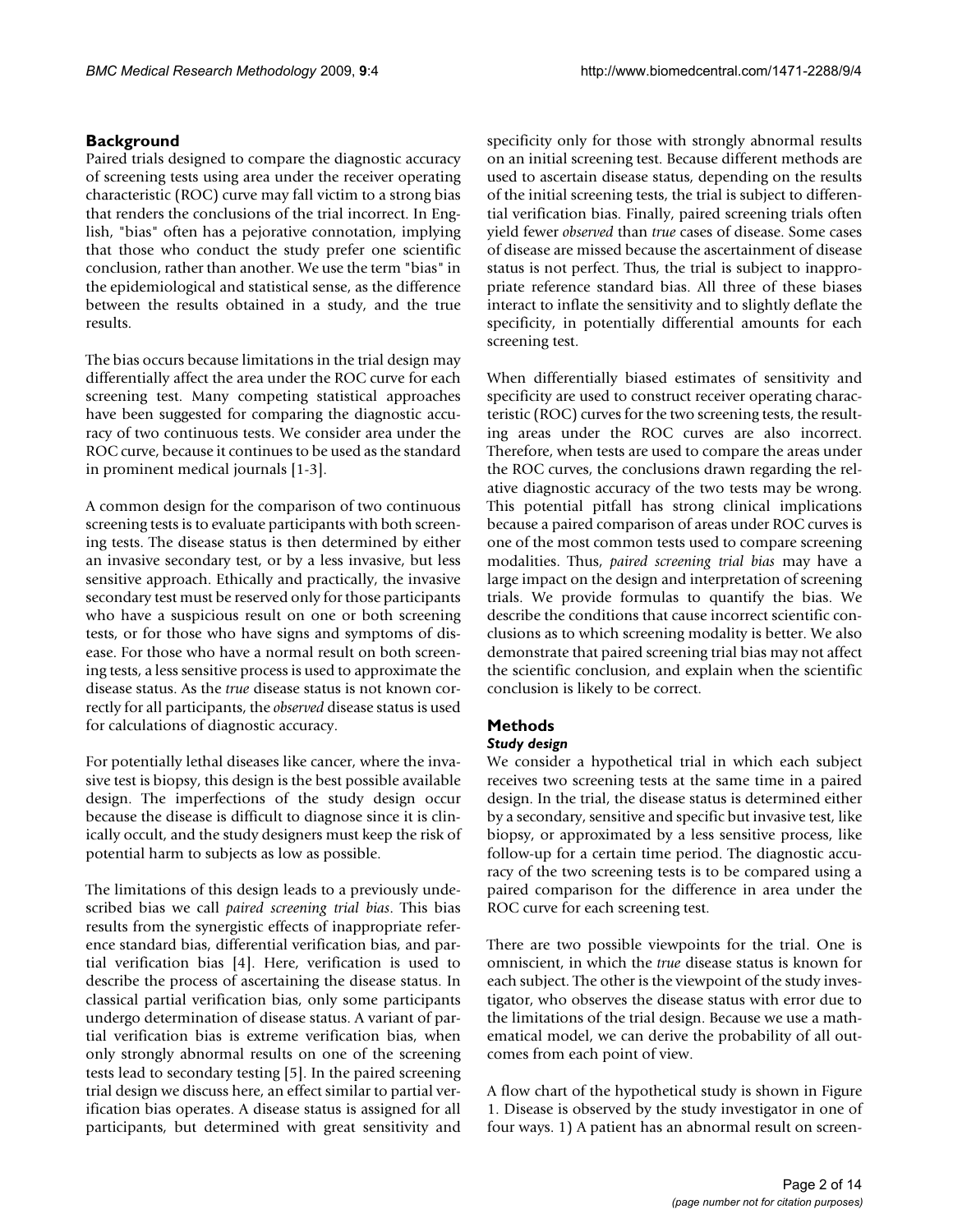# **Background**

Paired trials designed to compare the diagnostic accuracy of screening tests using area under the receiver operating characteristic (ROC) curve may fall victim to a strong bias that renders the conclusions of the trial incorrect. In English, "bias" often has a pejorative connotation, implying that those who conduct the study prefer one scientific conclusion, rather than another. We use the term "bias" in the epidemiological and statistical sense, as the difference between the results obtained in a study, and the true results.

The bias occurs because limitations in the trial design may differentially affect the area under the ROC curve for each screening test. Many competing statistical approaches have been suggested for comparing the diagnostic accuracy of two continuous tests. We consider area under the ROC curve, because it continues to be used as the standard in prominent medical journals [\[1-](#page-12-0)[3](#page-12-1)].

A common design for the comparison of two continuous screening tests is to evaluate participants with both screening tests. The disease status is then determined by either an invasive secondary test, or by a less invasive, but less sensitive approach. Ethically and practically, the invasive secondary test must be reserved only for those participants who have a suspicious result on one or both screening tests, or for those who have signs and symptoms of disease. For those who have a normal result on both screening tests, a less sensitive process is used to approximate the disease status. As the *true* disease status is not known correctly for all participants, the *observed* disease status is used for calculations of diagnostic accuracy.

For potentially lethal diseases like cancer, where the invasive test is biopsy, this design is the best possible available design. The imperfections of the study design occur because the disease is difficult to diagnose since it is clinically occult, and the study designers must keep the risk of potential harm to subjects as low as possible.

The limitations of this design leads to a previously undescribed bias we call *paired screening trial bias*. This bias results from the synergistic effects of inappropriate reference standard bias, differential verification bias, and partial verification bias [[4](#page-12-2)]. Here, verification is used to describe the process of ascertaining the disease status. In classical partial verification bias, only some participants undergo determination of disease status. A variant of partial verification bias is extreme verification bias, when only strongly abnormal results on one of the screening tests lead to secondary testing [[5](#page-12-3)]. In the paired screening trial design we discuss here, an effect similar to partial verification bias operates. A disease status is assigned for all participants, but determined with great sensitivity and

specificity only for those with strongly abnormal results on an initial screening test. Because different methods are used to ascertain disease status, depending on the results of the initial screening tests, the trial is subject to differential verification bias. Finally, paired screening trials often yield fewer *observed* than *true* cases of disease. Some cases of disease are missed because the ascertainment of disease status is not perfect. Thus, the trial is subject to inappropriate reference standard bias. All three of these biases interact to inflate the sensitivity and to slightly deflate the specificity, in potentially differential amounts for each screening test.

When differentially biased estimates of sensitivity and specificity are used to construct receiver operating characteristic (ROC) curves for the two screening tests, the resulting areas under the ROC curves are also incorrect. Therefore, when tests are used to compare the areas under the ROC curves, the conclusions drawn regarding the relative diagnostic accuracy of the two tests may be wrong. This potential pitfall has strong clinical implications because a paired comparison of areas under ROC curves is one of the most common tests used to compare screening modalities. Thus, *paired screening trial bias* may have a large impact on the design and interpretation of screening trials. We provide formulas to quantify the bias. We describe the conditions that cause incorrect scientific conclusions as to which screening modality is better. We also demonstrate that paired screening trial bias may not affect the scientific conclusion, and explain when the scientific conclusion is likely to be correct.

# **Methods**

# *Study design*

We consider a hypothetical trial in which each subject receives two screening tests at the same time in a paired design. In the trial, the disease status is determined either by a secondary, sensitive and specific but invasive test, like biopsy, or approximated by a less sensitive process, like follow-up for a certain time period. The diagnostic accuracy of the two screening tests is to be compared using a paired comparison for the difference in area under the ROC curve for each screening test.

There are two possible viewpoints for the trial. One is omniscient, in which the *true* disease status is known for each subject. The other is the viewpoint of the study investigator, who observes the disease status with error due to the limitations of the trial design. Because we use a mathematical model, we can derive the probability of all outcomes from each point of view.

A flow chart of the hypothetical study is shown in Figure [1](#page-2-0). Disease is observed by the study investigator in one of four ways. 1) A patient has an abnormal result on screen-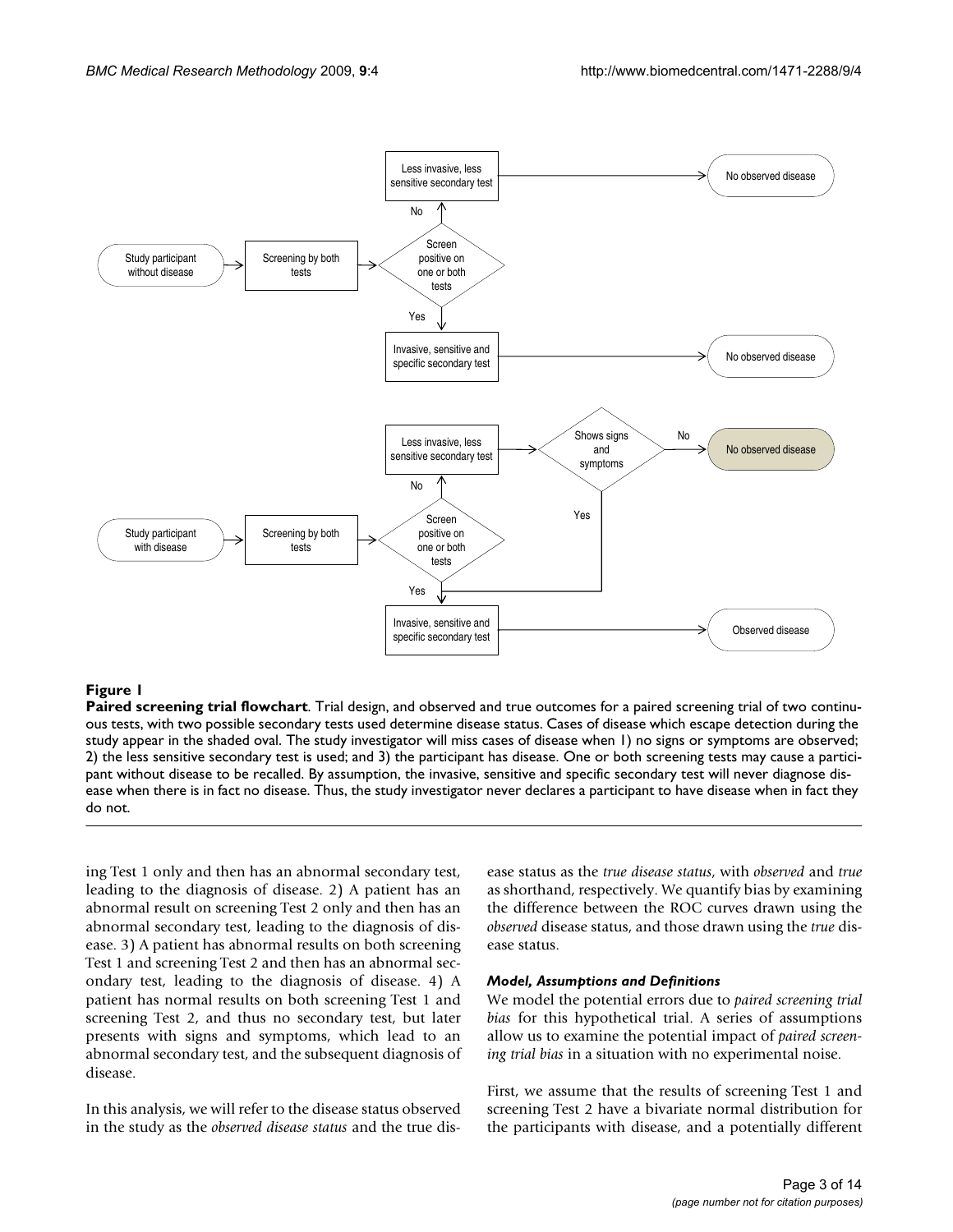<span id="page-2-0"></span>

#### **Figure 1**

**Paired screening trial flowchart**. Trial design, and observed and true outcomes for a paired screening trial of two continuous tests, with two possible secondary tests used determine disease status. Cases of disease which escape detection during the study appear in the shaded oval. The study investigator will miss cases of disease when 1) no signs or symptoms are observed; 2) the less sensitive secondary test is used; and 3) the participant has disease. One or both screening tests may cause a participant without disease to be recalled. By assumption, the invasive, sensitive and specific secondary test will never diagnose disease when there is in fact no disease. Thus, the study investigator never declares a participant to have disease when in fact they do not.

ing Test 1 only and then has an abnormal secondary test, leading to the diagnosis of disease. 2) A patient has an abnormal result on screening Test 2 only and then has an abnormal secondary test, leading to the diagnosis of disease. 3) A patient has abnormal results on both screening Test 1 and screening Test 2 and then has an abnormal secondary test, leading to the diagnosis of disease. 4) A patient has normal results on both screening Test 1 and screening Test 2, and thus no secondary test, but later presents with signs and symptoms, which lead to an abnormal secondary test, and the subsequent diagnosis of disease.

In this analysis, we will refer to the disease status observed in the study as the *observed disease status* and the true disease status as the *true disease status*, with *observed* and *true* as shorthand, respectively. We quantify bias by examining the difference between the ROC curves drawn using the *observed* disease status, and those drawn using the *true* disease status.

#### *Model, Assumptions and Definitions*

We model the potential errors due to *paired screening trial bias* for this hypothetical trial. A series of assumptions allow us to examine the potential impact of *paired screening trial bias* in a situation with no experimental noise.

First, we assume that the results of screening Test 1 and screening Test 2 have a bivariate normal distribution for the participants with disease, and a potentially different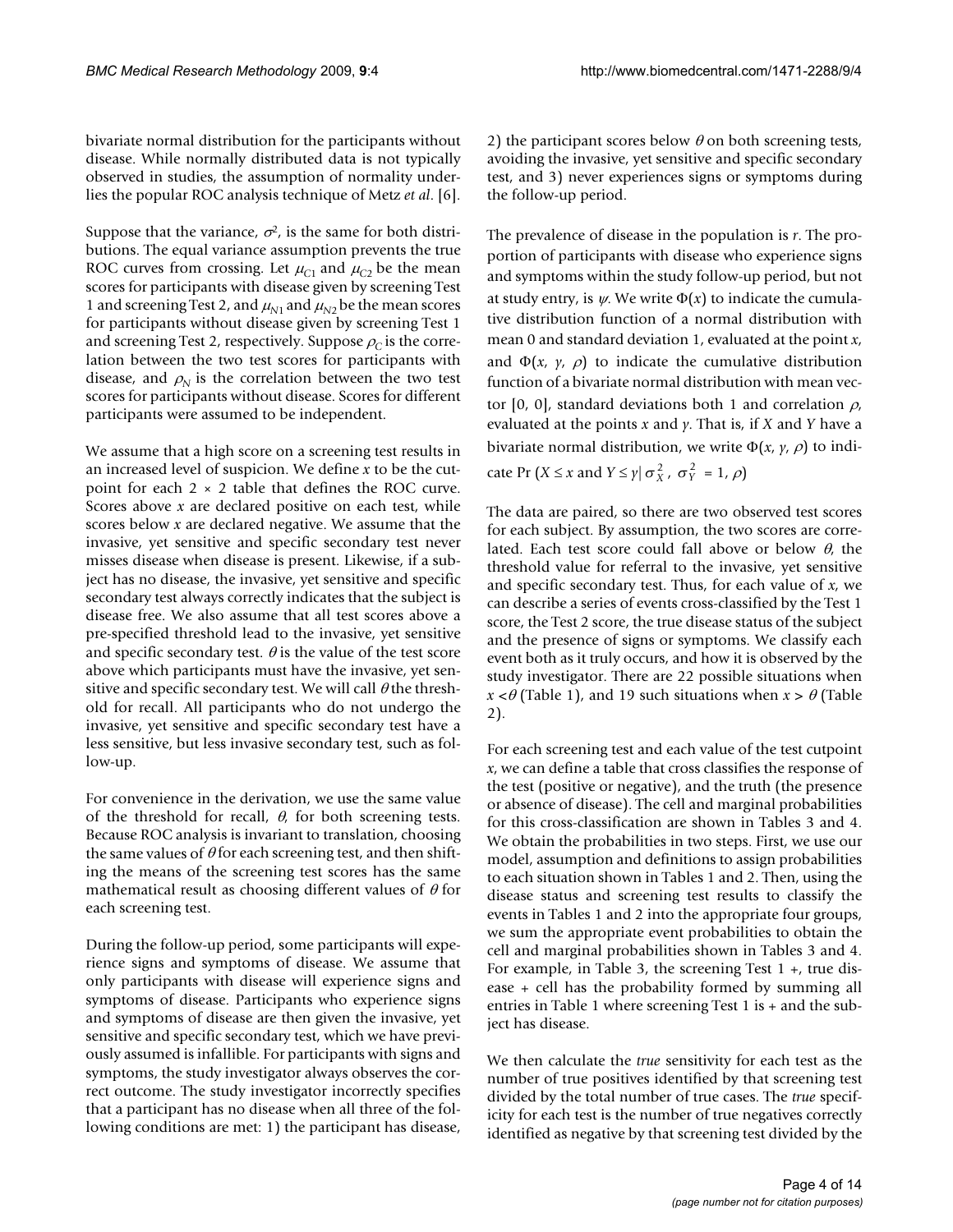bivariate normal distribution for the participants without disease. While normally distributed data is not typically observed in studies, the assumption of normality underlies the popular ROC analysis technique of Metz *et al*. [[6](#page-12-4)].

Suppose that the variance,  $\sigma^2$ , is the same for both distributions. The equal variance assumption prevents the true ROC curves from crossing. Let  $\mu_{C1}$  and  $\mu_{C2}$  be the mean scores for participants with disease given by screening Test 1 and screening Test 2, and  $\mu_{N1}$  and  $\mu_{N2}$  be the mean scores for participants without disease given by screening Test 1 and screening Test 2, respectively. Suppose  $\rho_c$  is the correlation between the two test scores for participants with disease, and  $\rho_N$  is the correlation between the two test scores for participants without disease. Scores for different participants were assumed to be independent.

We assume that a high score on a screening test results in an increased level of suspicion. We define *x* to be the cutpoint for each  $2 \times 2$  table that defines the ROC curve. Scores above *x* are declared positive on each test, while scores below *x* are declared negative. We assume that the invasive, yet sensitive and specific secondary test never misses disease when disease is present. Likewise, if a subject has no disease, the invasive, yet sensitive and specific secondary test always correctly indicates that the subject is disease free. We also assume that all test scores above a pre-specified threshold lead to the invasive, yet sensitive and specific secondary test.  $\theta$  is the value of the test score above which participants must have the invasive, yet sensitive and specific secondary test. We will call  $\theta$  the threshold for recall. All participants who do not undergo the invasive, yet sensitive and specific secondary test have a less sensitive, but less invasive secondary test, such as follow-up.

For convenience in the derivation, we use the same value of the threshold for recall,  $\theta$ , for both screening tests. Because ROC analysis is invariant to translation, choosing the same values of  $\theta$  for each screening test, and then shifting the means of the screening test scores has the same mathematical result as choosing different values of  $\theta$  for each screening test.

During the follow-up period, some participants will experience signs and symptoms of disease. We assume that only participants with disease will experience signs and symptoms of disease. Participants who experience signs and symptoms of disease are then given the invasive, yet sensitive and specific secondary test, which we have previously assumed is infallible. For participants with signs and symptoms, the study investigator always observes the correct outcome. The study investigator incorrectly specifies that a participant has no disease when all three of the following conditions are met: 1) the participant has disease,

2) the participant scores below  $\theta$  on both screening tests, avoiding the invasive, yet sensitive and specific secondary test, and 3) never experiences signs or symptoms during the follow-up period.

The prevalence of disease in the population is *r*. The proportion of participants with disease who experience signs and symptoms within the study follow-up period, but not at study entry, is  $\psi$ . We write  $\Phi(x)$  to indicate the cumulative distribution function of a normal distribution with mean 0 and standard deviation 1, evaluated at the point *x*, and  $\Phi(x, y, \rho)$  to indicate the cumulative distribution function of a bivariate normal distribution with mean vector [0, 0], standard deviations both 1 and correlation  $\rho$ , evaluated at the points *x* and *y*. That is, if *X* and *Y* have a bivariate normal distribution, we write  $\Phi(x, y, \rho)$  to indicate Pr  $(X \le x \text{ and } Y \le y \mid \sigma_X^2, \sigma_Y^2 = 1, \rho$ 

The data are paired, so there are two observed test scores for each subject. By assumption, the two scores are correlated. Each test score could fall above or below  $\theta$ , the threshold value for referral to the invasive, yet sensitive and specific secondary test. Thus, for each value of *x*, we can describe a series of events cross-classified by the Test 1 score, the Test 2 score, the true disease status of the subject and the presence of signs or symptoms. We classify each event both as it truly occurs, and how it is observed by the study investigator. There are 22 possible situations when  $x \leq \theta$  (Table [1](#page-4-0)), and 19 such situations when  $x > \theta$  (Table [2](#page-4-1)).

For each screening test and each value of the test cutpoint *x*, we can define a table that cross classifies the response of the test (positive or negative), and the truth (the presence or absence of disease). The cell and marginal probabilities for this cross-classification are shown in Tables [3](#page-5-0) and [4.](#page-5-1) We obtain the probabilities in two steps. First, we use our model, assumption and definitions to assign probabilities to each situation shown in Tables [1](#page-4-0) and [2](#page-4-1). Then, using the disease status and screening test results to classify the events in Tables [1](#page-4-0) and [2](#page-4-1) into the appropriate four groups, we sum the appropriate event probabilities to obtain the cell and marginal probabilities shown in Tables [3](#page-5-0) and [4.](#page-5-1) For example, in Table [3,](#page-5-0) the screening Test 1 +, true disease + cell has the probability formed by summing all entries in Table [1](#page-4-0) where screening Test 1 is + and the subject has disease.

We then calculate the *true* sensitivity for each test as the number of true positives identified by that screening test divided by the total number of true cases. The *true* specificity for each test is the number of true negatives correctly identified as negative by that screening test divided by the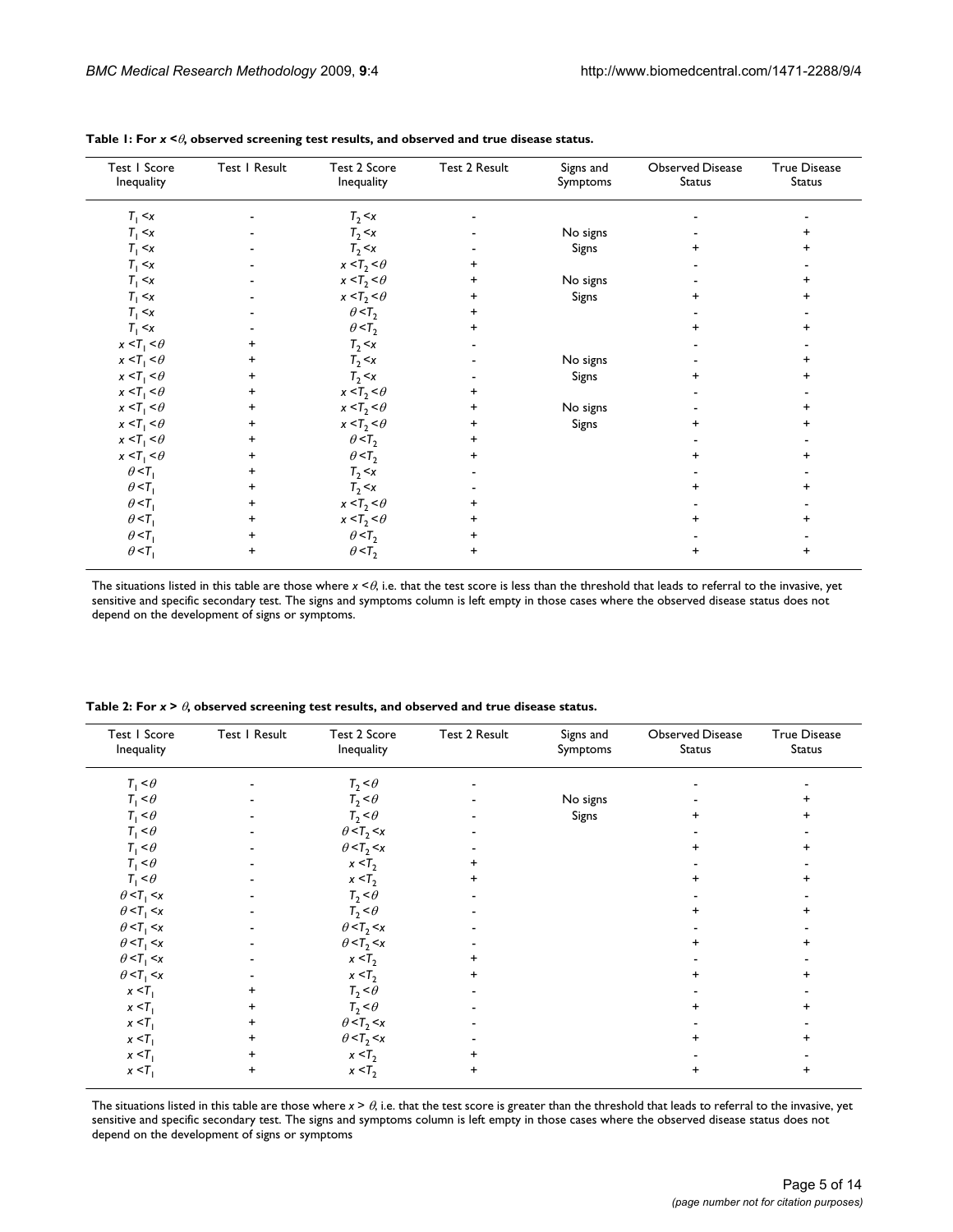| Test   Score<br>Inequality        | Test   Result | Test 2 Score<br>Inequality | Test 2 Result | Signs and<br>Symptoms | Observed Disease<br><b>Status</b> | True Disease<br>Status |
|-----------------------------------|---------------|----------------------------|---------------|-----------------------|-----------------------------------|------------------------|
| $T_1 < x$                         |               | $T_2 < x$                  |               |                       |                                   |                        |
| $T_1 < x$                         |               | $T_2 < x$                  |               | No signs              |                                   |                        |
| $T_1 \leq x$                      |               | $T_2 < x$                  |               | Signs                 |                                   |                        |
| $T_1 \leq x$                      |               | $x < T_2 < \theta$         |               |                       |                                   |                        |
| $T_1 \leq x$                      |               | $x < T_2 < \theta$         |               | No signs              |                                   |                        |
| $T_1 < x$                         |               | $x < T_2 < \theta$         |               | Signs                 |                                   |                        |
| $T_1 < x$                         |               | $\theta$ < $T_2$           |               |                       |                                   |                        |
| $T_1 \leq x$                      |               | $\theta$ < $T_2$           |               |                       |                                   |                        |
| $x < T_1 < \theta$                |               | $T_2 < x$                  |               |                       |                                   |                        |
| $x < T_1 < \theta$                | +             | $T_2 < x$                  |               | No signs              |                                   |                        |
| $x < T_1 < \theta$                | +             | $T_2 < x$                  |               | Signs                 |                                   |                        |
| $x < T$ <sub>1</sub> $\lt \theta$ | +             | $x < T_2 < \theta$         |               |                       |                                   |                        |
| $x < T_1 < \theta$                | +             | $x < T_2 < \theta$         | +             | No signs              |                                   |                        |
| $x < T_1 < \theta$                | +             | $x < T_2 < \theta$         | ٠             | Signs                 |                                   |                        |
| $x < T_1 < \theta$                | +             | $\theta$ < $T_2$           |               |                       |                                   |                        |
| $x < T_1 < \theta$                | +             | $\theta$ < T <sub>2</sub>  |               |                       |                                   |                        |
| $\theta$ <t<sub>1</t<sub>         |               | $T_2 < x$                  |               |                       |                                   |                        |
| $\theta$ <t<sub>1</t<sub>         | +             | $T_2 < x$                  |               |                       |                                   |                        |
| $\theta$ < T <sub>1</sub>         | +             | $x < T_2 < \theta$         |               |                       |                                   |                        |
| $\theta$ < T <sub>1</sub>         | +             | $x < T_2 < \theta$         |               |                       |                                   |                        |
| $\theta$ < T <sub>1</sub>         | +             | $\theta$ < $T_2$           |               |                       |                                   |                        |
| $\theta$ <t<sub>1</t<sub>         | +             | $\theta$ < T <sub>2</sub>  | +             |                       |                                   |                        |

<span id="page-4-0"></span>

|  |  | Table 1: For $x \le \theta$ , observed screening test results, and observed and true disease status. |
|--|--|------------------------------------------------------------------------------------------------------|
|--|--|------------------------------------------------------------------------------------------------------|

The situations listed in this table are those where  $x \leq \theta$ , i.e. that the test score is less than the threshold that leads to referral to the invasive, yet sensitive and specific secondary test. The signs and symptoms column is left empty in those cases where the observed disease status does not depend on the development of signs or symptoms.

<span id="page-4-1"></span>

| Test I Score<br>Inequality    | Test I Result | Test 2 Score<br>Inequality | Test 2 Result | Signs and<br>Symptoms | <b>Observed Disease</b><br><b>Status</b> | <b>True Disease</b><br><b>Status</b> |
|-------------------------------|---------------|----------------------------|---------------|-----------------------|------------------------------------------|--------------------------------------|
| $T_1 < \theta$                |               | $T_2 < \theta$             |               |                       |                                          |                                      |
| $T_1 < \theta$                |               | $T_2 < \theta$             |               | No signs              |                                          |                                      |
| $T_1 < \theta$                |               | $T_2 < \theta$             |               | Signs                 |                                          |                                      |
| $T_1 < \theta$                |               | $\theta$ < $T_2$ < $x$     |               |                       |                                          |                                      |
| $T_1 < \theta$                |               | $\theta$ < $T_2$ < $x$     |               |                       |                                          |                                      |
| $T_1 < \theta$                |               | $x < T_2$                  |               |                       |                                          |                                      |
| $T_1 < \theta$                |               | $x < T_2$                  |               |                       |                                          |                                      |
| $\theta$ < T <sub>1</sub> < x |               | $T_2 < \theta$             |               |                       |                                          |                                      |
| $\theta$ < T <sub>1</sub> < x |               | $T_2 < \theta$             |               |                       |                                          |                                      |
| $\theta$ < T <sub>1</sub> < x |               | $\theta$ < $T_2$ < $x$     |               |                       |                                          |                                      |
| $\theta$ < T <sub>1</sub> < x |               | $\theta$ < $T_2$ < $x$     |               |                       |                                          |                                      |
| $\theta$ < T <sub>1</sub> < x |               | $x < T_2$                  |               |                       |                                          |                                      |
| $\theta$ < T <sub>1</sub> < x |               | $x < T_2$                  |               |                       |                                          |                                      |
| $x < T_1$                     |               | $T_2 < \theta$             |               |                       |                                          |                                      |
| $x < T_1$                     |               | $T_2 < \theta$             |               |                       |                                          |                                      |
| $x < T_1$                     | ٠             | $\theta$ < $T_2$ < $x$     |               |                       |                                          |                                      |
| $x < T_1$                     | +             | $\theta$ < $T_2$ < $x$     |               |                       |                                          |                                      |
| $x < T_1$                     |               | $x < T_2$                  |               |                       |                                          |                                      |
| $x < T_1$                     | +             | $x < T_2$                  | +             |                       |                                          |                                      |

The situations listed in this table are those where  $x > \theta$ , i.e. that the test score is greater than the threshold that leads to referral to the invasive, yet sensitive and specific secondary test. The signs and symptoms column is left empty in those cases where the observed disease status does not depend on the development of signs or symptoms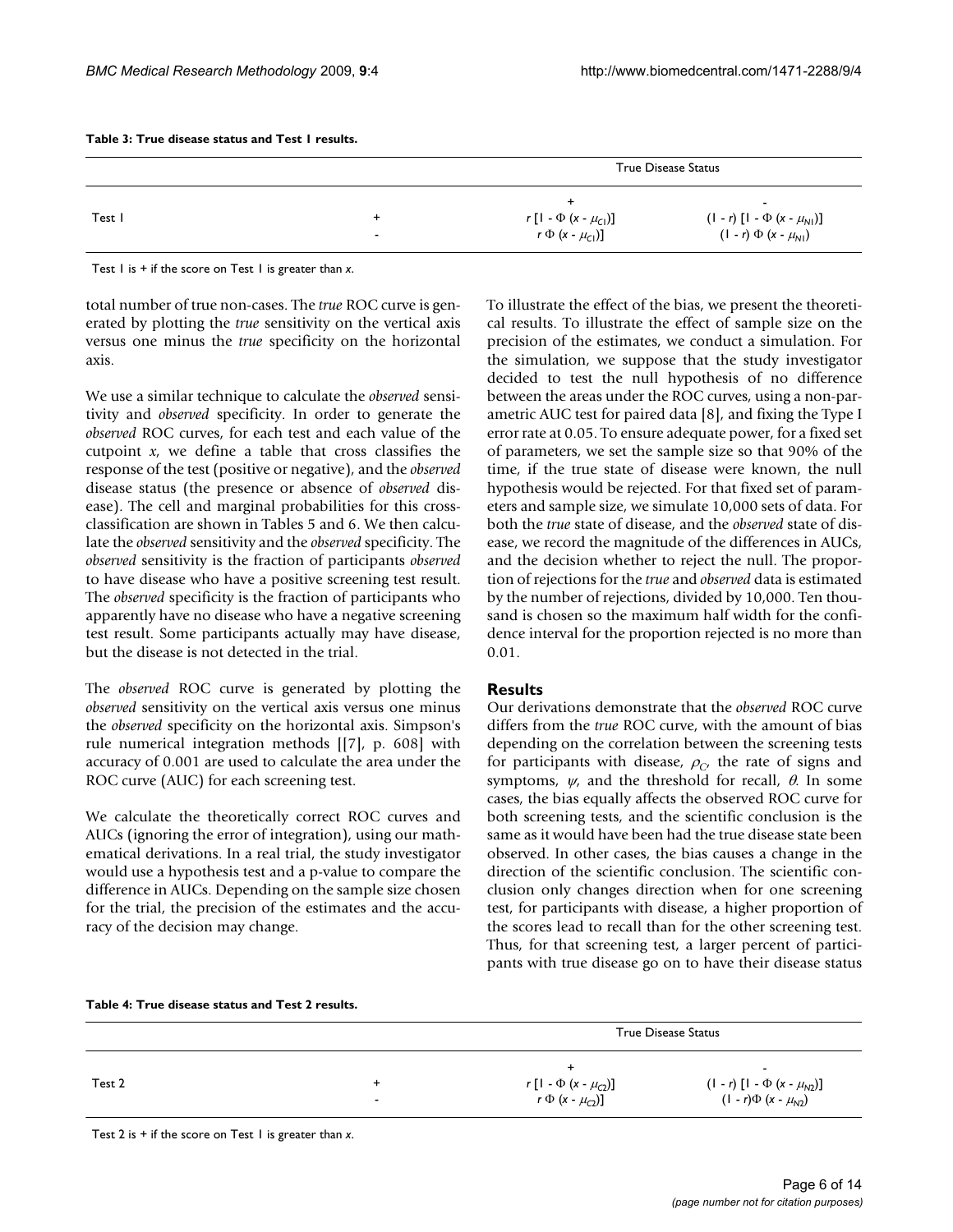To illustrate the effect of the bias, we present the theoretical results. To illustrate the effect of sample size on the precision of the estimates, we conduct a simulation. For the simulation, we suppose that the study investigator decided to test the null hypothesis of no difference between the areas under the ROC curves, using a non-parametric AUC test for paired data [[8](#page-12-6)], and fixing the Type I error rate at 0.05. To ensure adequate power, for a fixed set of parameters, we set the sample size so that 90% of the time, if the true state of disease were known, the null

|        |                          |                                                                    | <b>True Disease Status</b>                                           |
|--------|--------------------------|--------------------------------------------------------------------|----------------------------------------------------------------------|
| Test I | $\overline{\phantom{a}}$ | +<br>r [l - $\Phi$ (x - $\mu_{C}$ )]<br>r $\Phi$ (x - $\mu_{c}$ )] | $(1 - r) [1 - \Phi (x - \mu_{N1})]$<br>$(1 - r) \Phi (x - \mu_{N1})$ |

<span id="page-5-0"></span>**Table 3: True disease status and Test 1 results.**

Test 1 is + if the score on Test 1 is greater than *x*.

total number of true non-cases. The *true* ROC curve is generated by plotting the *true* sensitivity on the vertical axis versus one minus the *true* specificity on the horizontal axis.

We use a similar technique to calculate the *observed* sensitivity and *observed* specificity. In order to generate the *observed* ROC curves, for each test and each value of the cutpoint *x*, we define a table that cross classifies the response of the test (positive or negative), and the *observed* disease status (the presence or absence of *observed* disease). The cell and marginal probabilities for this crossclassification are shown in Tables [5](#page-6-0) and [6](#page-7-0). We then calculate the *observed* sensitivity and the *observed* specificity. The *observed* sensitivity is the fraction of participants *observed* to have disease who have a positive screening test result. The *observed* specificity is the fraction of participants who apparently have no disease who have a negative screening test result. Some participants actually may have disease, but the disease is not detected in the trial.

The *observed* ROC curve is generated by plotting the *observed* sensitivity on the vertical axis versus one minus the *observed* specificity on the horizontal axis. Simpson's rule numerical integration methods [[\[7\]](#page-12-5), p. 608] with accuracy of 0.001 are used to calculate the area under the ROC curve (AUC) for each screening test.

We calculate the theoretically correct ROC curves and AUCs (ignoring the error of integration), using our mathematical derivations. In a real trial, the study investigator would use a hypothesis test and a p-value to compare the difference in AUCs. Depending on the sample size chosen for the trial, the precision of the estimates and the accuracy of the decision may change.

<span id="page-5-1"></span>**Table 4: True disease status and Test 2 results.**

|        |                                                               | True Disease Status                                                                            |
|--------|---------------------------------------------------------------|------------------------------------------------------------------------------------------------|
| Test 2 | r [ $I - \Phi(x - \mu_{C2})$ ]<br>r $\Phi$ (x - $\mu_{C2}$ )] | $\overline{\phantom{a}}$<br>$(1 - r) [1 - \Phi (x - \mu_{N2})]$<br>$(1 - r)\Phi(x - \mu_{N2})$ |

0.01.

**Results**

Test 2 is + if the score on Test 1 is greater than *x*.

hypothesis would be rejected. For that fixed set of parameters and sample size, we simulate 10,000 sets of data. For both the *true* state of disease, and the *observed* state of disease, we record the magnitude of the differences in AUCs, and the decision whether to reject the null. The proportion of rejections for the *true* and *observed* data is estimated by the number of rejections, divided by 10,000. Ten thousand is chosen so the maximum half width for the confidence interval for the proportion rejected is no more than Our derivations demonstrate that the *observed* ROC curve differs from the *true* ROC curve, with the amount of bias depending on the correlation between the screening tests for participants with disease,  $\rho_{C}$ , the rate of signs and symptoms,  $\psi$ , and the threshold for recall,  $\theta$ . In some

cases, the bias equally affects the observed ROC curve for both screening tests, and the scientific conclusion is the same as it would have been had the true disease state been observed. In other cases, the bias causes a change in the direction of the scientific conclusion. The scientific conclusion only changes direction when for one screening test, for participants with disease, a higher proportion of the scores lead to recall than for the other screening test. Thus, for that screening test, a larger percent of participants with true disease go on to have their disease status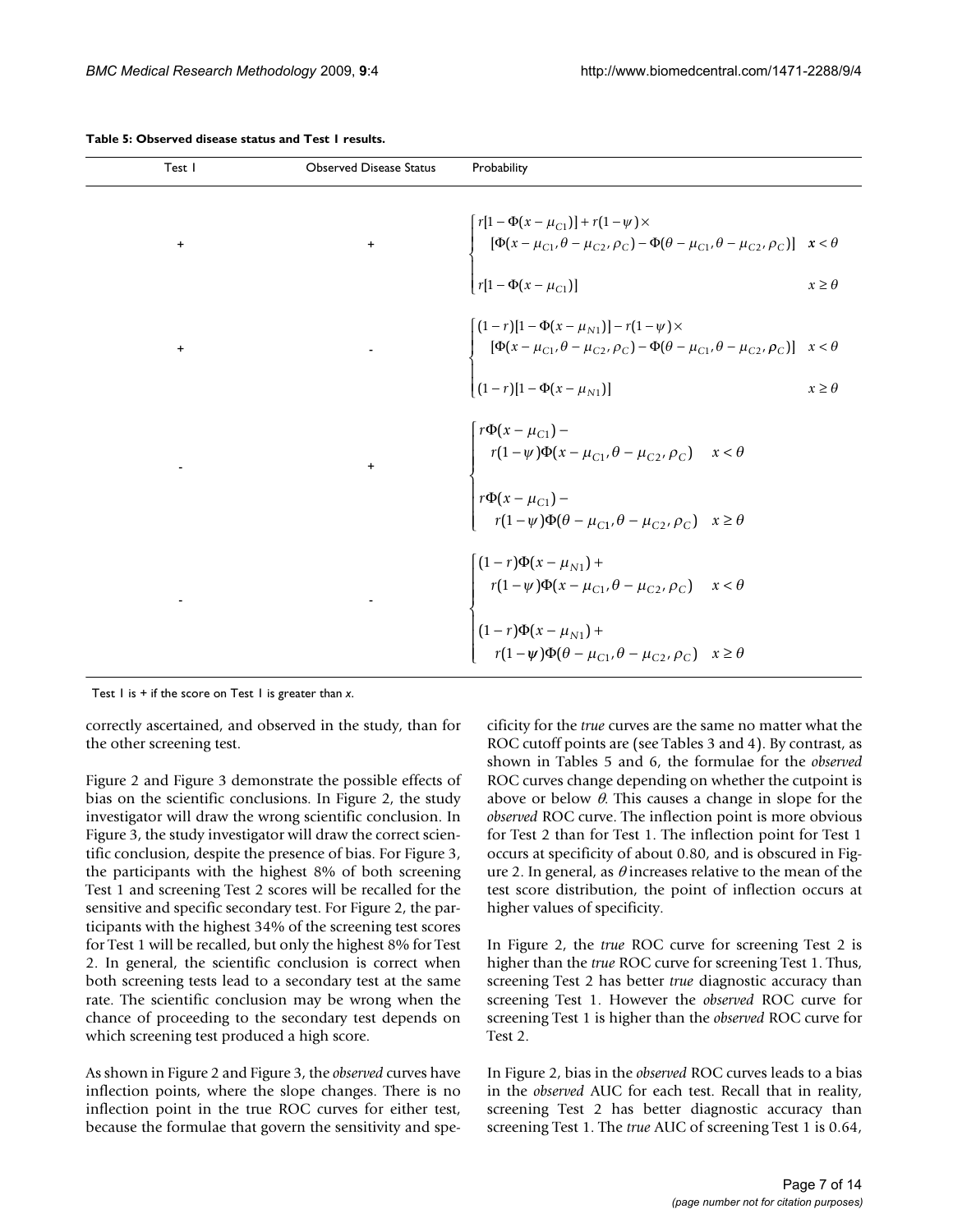<span id="page-6-0"></span>

| Table 5: Observed disease status and Test 1 results. |  |
|------------------------------------------------------|--|
|------------------------------------------------------|--|

| Test I    | <b>Observed Disease Status</b> | Probability                                                                                                                                                                                                                                                                                                                                                                       |
|-----------|--------------------------------|-----------------------------------------------------------------------------------------------------------------------------------------------------------------------------------------------------------------------------------------------------------------------------------------------------------------------------------------------------------------------------------|
| $\ddot{}$ | $+$                            | $\label{eq:2} \left\{ \begin{aligned} &r[1-\Phi(x-\mu_{C1})]+r(1-\psi)\times \\ &[\Phi(x-\mu_{C1},\theta-\mu_{C2},\rho_C)-\Phi(\theta-\mu_{C1},\theta-\mu_{C2},\rho_C)] & x<\theta \\ &r[1-\Phi(x-\mu_{C1})] & x\geq \theta \end{aligned} \right.$                                                                                                                                |
| $\ddot{}$ |                                | $\label{eq:2} \begin{cases} \left(1-r\right)\left[1-\Phi(x-\mu_{N1})\right]-r\left(1-\psi\right)\times\\ \left[\Phi(x-\mu_{C1},\theta-\mu_{C2},\rho_{C})-\Phi(\theta-\mu_{C1},\theta-\mu_{C2},\rho_{C})\right] & x<\theta\\ \left[(1-r)\left[1-\Phi(x-\mu_{N1})\right]\right] & x\geq\theta \end{cases}$                                                                          |
|           | $+$                            | $\label{eq:R1} \begin{cases} r\Phi(x-\mu_{C1}) - \\ \qquad \qquad r(1-\psi)\Phi(x-\mu_{C1},\theta-\mu_{C2},\rho_C) \quad \  \, x<\theta \\ \\ r\Phi(x-\mu_{C1}) - \\ \qquad \qquad r(1-\psi)\Phi(\theta-\mu_{C1},\theta-\mu_{C2},\rho_C) \quad \, x\geq\theta \end{cases}$                                                                                                        |
|           |                                | $\label{eq:22} \begin{cases} \displaystyle \big(1-r\big)\Phi\big(x-\mu_{N1}\big)+\\ \displaystyle \  \, r\big(1-\psi\big)\Phi\big(x-\mu_{C1},\theta-\mu_{C2},\rho_{C}\big) \quad \, x<\theta \\ \displaystyle \big(1-r\big)\Phi\big(x-\mu_{N1}\big)+\\ \displaystyle \  \, r\big(1-\psi\big)\Phi\big(\theta-\mu_{C1},\theta-\mu_{C2},\rho_{C}\big) \quad x\geq\theta \end{cases}$ |

Test 1 is + if the score on Test 1 is greater than *x*.

correctly ascertained, and observed in the study, than for the other screening test.

Figure [2](#page-8-0) and Figure [3](#page-9-0) demonstrate the possible effects of bias on the scientific conclusions. In Figure [2,](#page-8-0) the study investigator will draw the wrong scientific conclusion. In Figure [3,](#page-9-0) the study investigator will draw the correct scientific conclusion, despite the presence of bias. For Figure [3,](#page-9-0) the participants with the highest 8% of both screening Test 1 and screening Test 2 scores will be recalled for the sensitive and specific secondary test. For Figure [2,](#page-8-0) the participants with the highest 34% of the screening test scores for Test 1 will be recalled, but only the highest 8% for Test 2. In general, the scientific conclusion is correct when both screening tests lead to a secondary test at the same rate. The scientific conclusion may be wrong when the chance of proceeding to the secondary test depends on which screening test produced a high score.

As shown in Figure [2](#page-8-0) and Figure [3](#page-9-0), the *observed* curves have inflection points, where the slope changes. There is no inflection point in the true ROC curves for either test, because the formulae that govern the sensitivity and specificity for the *true* curves are the same no matter what the ROC cutoff points are (see Tables [3](#page-5-0) and [4\)](#page-5-1). By contrast, as shown in Tables [5](#page-6-0) and [6,](#page-7-0) the formulae for the *observed* ROC curves change depending on whether the cutpoint is above or below  $\theta$ . This causes a change in slope for the *observed* ROC curve. The inflection point is more obvious for Test 2 than for Test 1. The inflection point for Test 1 occurs at specificity of about 0.80, and is obscured in Fig-ure [2](#page-8-0). In general, as  $\theta$  increases relative to the mean of the test score distribution, the point of inflection occurs at higher values of specificity.

In Figure [2,](#page-8-0) the *true* ROC curve for screening Test 2 is higher than the *true* ROC curve for screening Test 1. Thus, screening Test 2 has better *true* diagnostic accuracy than screening Test 1. However the *observed* ROC curve for screening Test 1 is higher than the *observed* ROC curve for Test 2.

In Figure [2](#page-8-0), bias in the *observed* ROC curves leads to a bias in the *observed* AUC for each test. Recall that in reality, screening Test 2 has better diagnostic accuracy than screening Test 1. The *true* AUC of screening Test 1 is 0.64,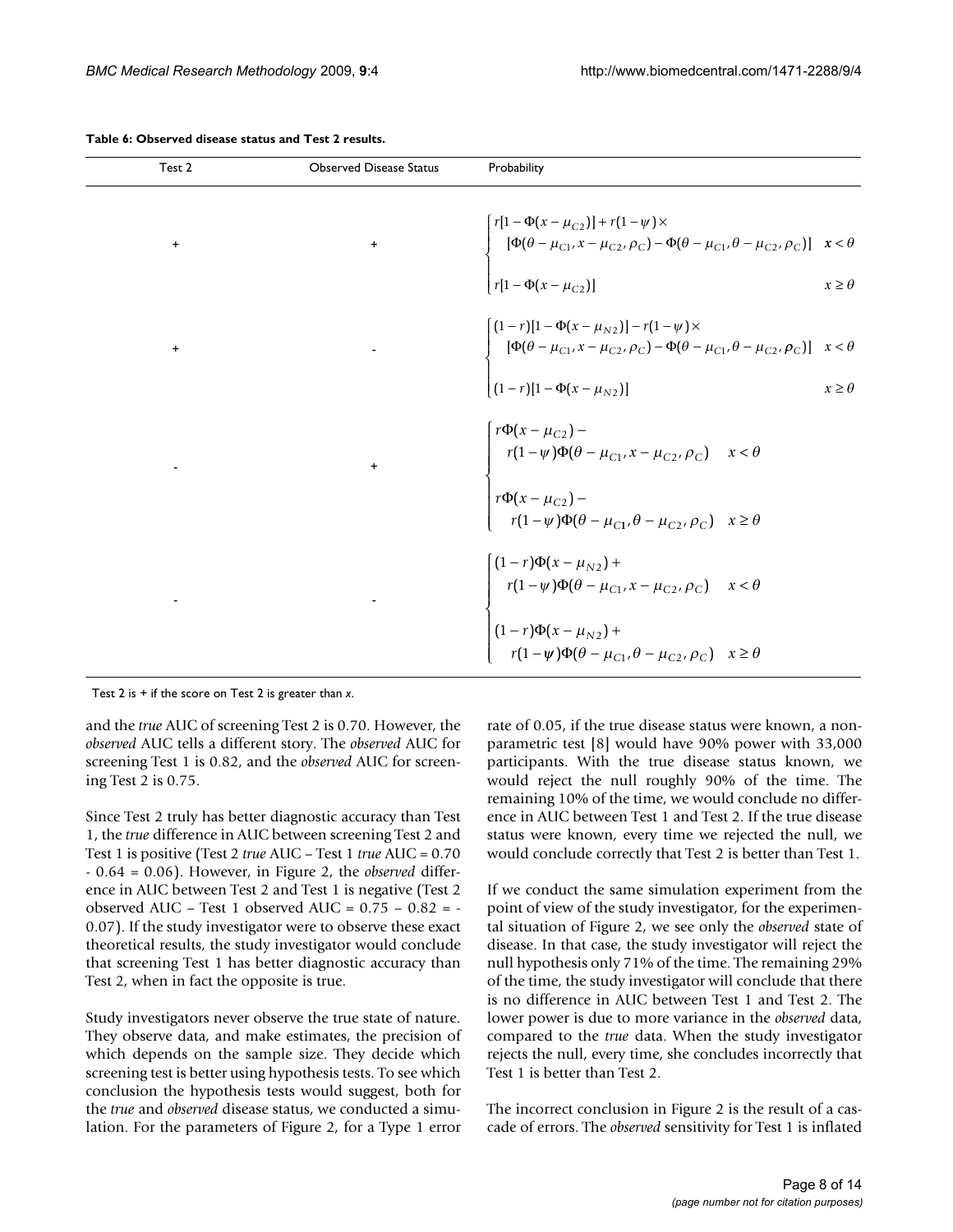<span id="page-7-0"></span>

| Table 6: Observed disease status and Test 2 results. |
|------------------------------------------------------|
|------------------------------------------------------|

| Test 2    | <b>Observed Disease Status</b> | Probability                                                                                                                                                                                                                                                                                                                                                                              |
|-----------|--------------------------------|------------------------------------------------------------------------------------------------------------------------------------------------------------------------------------------------------------------------------------------------------------------------------------------------------------------------------------------------------------------------------------------|
| $\ddot{}$ | $\ddot{}$                      | $\label{eq:2} \left\{ \begin{aligned} &r[1-\Phi(x-\mu_{C2})]+r(1-\psi)\times \\ &[\Phi(\theta-\mu_{C1},x-\mu_{C2},\rho_{C})-\Phi(\theta-\mu_{C1},\theta-\mu_{C2},\rho_{C})] & x<\theta \\ &r[1-\Phi(x-\mu_{C2})] & x\geq \theta \end{aligned} \right.$                                                                                                                                   |
| $\ddot{}$ |                                | $\label{eq:2.1} \begin{cases} \big(1-r\big)\big[1-\Phi\big(x-\mu_{N2}\big)\big]-r\big(1-\psi\big)\times\\ \big[\Phi\big(\theta-\mu_{C1},x-\mu_{C2},\rho_{C}\big)-\Phi\big(\theta-\mu_{C1},\theta-\mu_{C2},\rho_{C}\big)\big] & x<\theta\\ \\ \big(1-r\big)\big[1-\Phi\big(x-\mu_{N2}\big)\big] & x\geq\theta \end{cases}$                                                                |
|           | $\ddot{}$                      | $\label{eq:R1} \begin{cases} r\Phi(x-\mu_{C2})-\\ r(1-\psi)\Phi(\theta-\mu_{C1},x-\mu_{C2},\rho_C) & x<\theta\\ r\Phi(x-\mu_{C2})-\\ r(1-\psi)\Phi(\theta-\mu_{C1},\theta-\mu_{C2},\rho_C) & x\geq\theta \end{cases}$                                                                                                                                                                    |
|           |                                |                                                                                                                                                                                                                                                                                                                                                                                          |
|           |                                | $\label{eq:21} \begin{cases} \displaystyle \big(1-r\big)\Phi\big(x-\mu_{N2}\big)+\\ \displaystyle \  \, r\big(1-\psi\big)\Phi\big(\theta-\mu_{C1},x-\mu_{C2},\rho_{C}\big) \quad \, x<\theta \\[0.4cm] \displaystyle \big(1-r\big)\Phi\big(x-\mu_{N2}\big)+\\ \displaystyle \  \, r\big(1-\psi\big)\Phi\big(\theta-\mu_{C1},\theta-\mu_{C2},\rho_{C}\big) \quad x\geq\theta \end{cases}$ |
|           |                                |                                                                                                                                                                                                                                                                                                                                                                                          |

Test 2 is + if the score on Test 2 is greater than *x*.

and the *true* AUC of screening Test 2 is 0.70. However, the *observed* AUC tells a different story. The *observed* AUC for screening Test 1 is 0.82, and the *observed* AUC for screening Test 2 is 0.75.

Since Test 2 truly has better diagnostic accuracy than Test 1, the *true* difference in AUC between screening Test 2 and Test 1 is positive (Test 2 *true* AUC – Test 1 *true* AUC = 0.70 - 0.64 = 0.06). However, in Figure [2,](#page-8-0) the *observed* difference in AUC between Test 2 and Test 1 is negative (Test 2 observed AUC – Test 1 observed AUC = 0.75 – 0.82 = - 0.07). If the study investigator were to observe these exact theoretical results, the study investigator would conclude that screening Test 1 has better diagnostic accuracy than Test 2, when in fact the opposite is true.

Study investigators never observe the true state of nature. They observe data, and make estimates, the precision of which depends on the sample size. They decide which screening test is better using hypothesis tests. To see which conclusion the hypothesis tests would suggest, both for the *true* and *observed* disease status, we conducted a simulation. For the parameters of Figure [2](#page-8-0), for a Type 1 error rate of 0.05, if the true disease status were known, a nonparametric test [\[8\]](#page-12-6) would have 90% power with 33,000 participants. With the true disease status known, we would reject the null roughly 90% of the time. The remaining 10% of the time, we would conclude no difference in AUC between Test 1 and Test 2. If the true disease status were known, every time we rejected the null, we would conclude correctly that Test 2 is better than Test 1.

If we conduct the same simulation experiment from the point of view of the study investigator, for the experimental situation of Figure [2](#page-8-0), we see only the *observed* state of disease. In that case, the study investigator will reject the null hypothesis only 71% of the time. The remaining 29% of the time, the study investigator will conclude that there is no difference in AUC between Test 1 and Test 2. The lower power is due to more variance in the *observed* data, compared to the *true* data. When the study investigator rejects the null, every time, she concludes incorrectly that Test 1 is better than Test 2.

The incorrect conclusion in Figure [2](#page-8-0) is the result of a cascade of errors. The *observed* sensitivity for Test 1 is inflated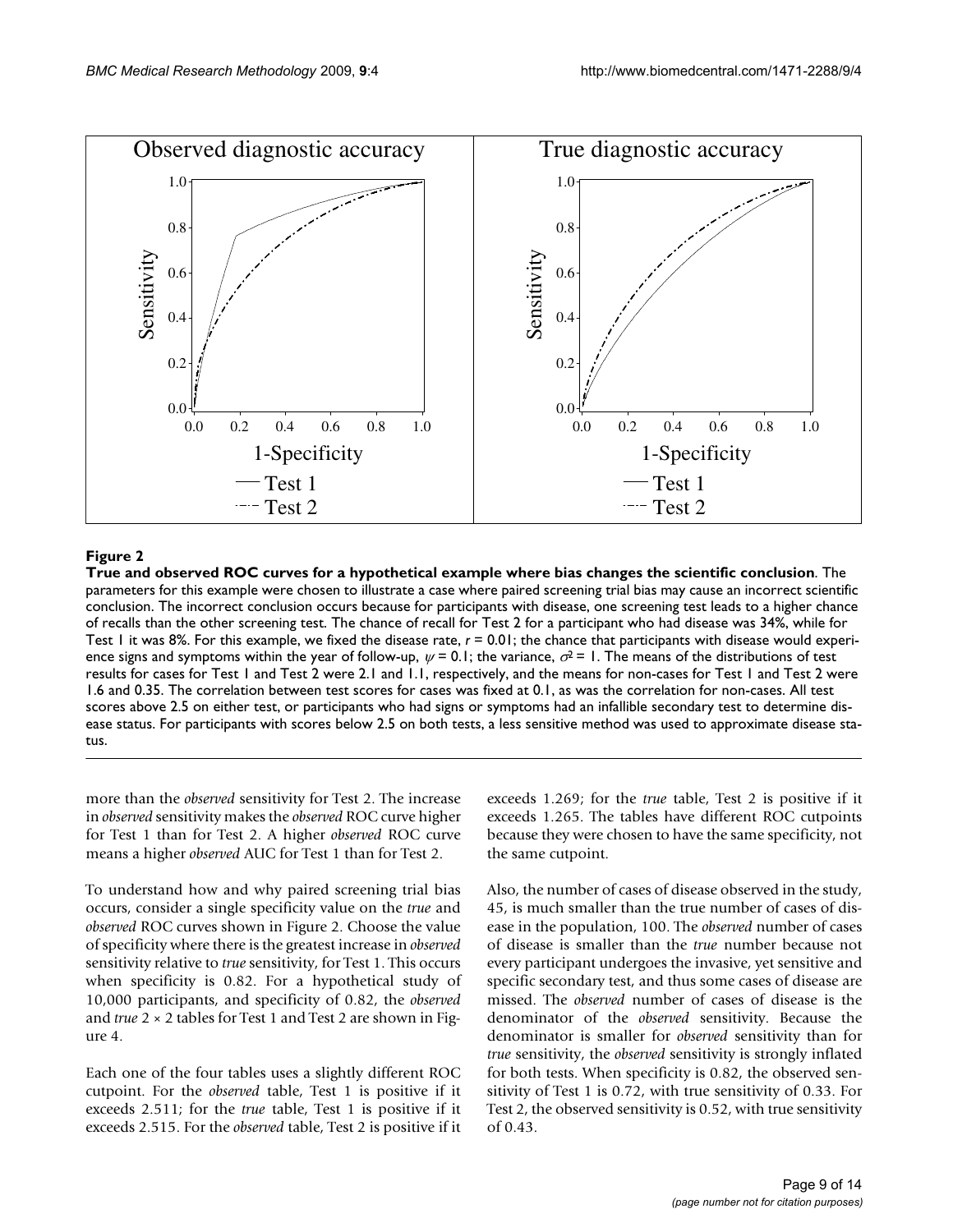<span id="page-8-0"></span>

# True and observed ROC curves for a hypothetical ex **Figure 2** ample where bias changes the scientific conclusion

**True and observed ROC curves for a hypothetical example where bias changes the scientific conclusion**. The parameters for this example were chosen to illustrate a case where paired screening trial bias may cause an incorrect scientific conclusion. The incorrect conclusion occurs because for participants with disease, one screening test leads to a higher chance of recalls than the other screening test. The chance of recall for Test 2 for a participant who had disease was 34%, while for Test 1 it was 8%. For this example, we fixed the disease rate, *r* = 0.01; the chance that participants with disease would experience signs and symptoms within the year of follow-up,  $\psi = 0.1$ ; the variance,  $\sigma^2 = 1$ . The means of the distributions of test results for cases for Test 1 and Test 2 were 2.1 and 1.1, respectively, and the means for non-cases for Test 1 and Test 2 were 1.6 and 0.35. The correlation between test scores for cases was fixed at 0.1, as was the correlation for non-cases. All test scores above 2.5 on either test, or participants who had signs or symptoms had an infallible secondary test to determine disease status. For participants with scores below 2.5 on both tests, a less sensitive method was used to approximate disease status.

more than the *observed* sensitivity for Test 2. The increase in *observed* sensitivity makes the *observed* ROC curve higher for Test 1 than for Test 2. A higher *observed* ROC curve means a higher *observed* AUC for Test 1 than for Test 2.

To understand how and why paired screening trial bias occurs, consider a single specificity value on the *true* and *observed* ROC curves shown in Figure [2](#page-8-0). Choose the value of specificity where there is the greatest increase in *observed* sensitivity relative to *true* sensitivity, for Test 1. This occurs when specificity is 0.82. For a hypothetical study of 10,000 participants, and specificity of 0.82, the *observed* and *true* 2 × 2 tables for Test 1 and Test 2 are shown in Figure [4.](#page-10-0)

Each one of the four tables uses a slightly different ROC cutpoint. For the *observed* table, Test 1 is positive if it exceeds 2.511; for the *true* table, Test 1 is positive if it exceeds 2.515. For the *observed* table, Test 2 is positive if it exceeds 1.269; for the *true* table, Test 2 is positive if it exceeds 1.265. The tables have different ROC cutpoints because they were chosen to have the same specificity, not the same cutpoint.

Also, the number of cases of disease observed in the study, 45, is much smaller than the true number of cases of disease in the population, 100. The *observed* number of cases of disease is smaller than the *true* number because not every participant undergoes the invasive, yet sensitive and specific secondary test, and thus some cases of disease are missed. The *observed* number of cases of disease is the denominator of the *observed* sensitivity. Because the denominator is smaller for *observed* sensitivity than for *true* sensitivity, the *observed* sensitivity is strongly inflated for both tests. When specificity is 0.82, the observed sensitivity of Test 1 is 0.72, with true sensitivity of 0.33. For Test 2, the observed sensitivity is 0.52, with true sensitivity of 0.43.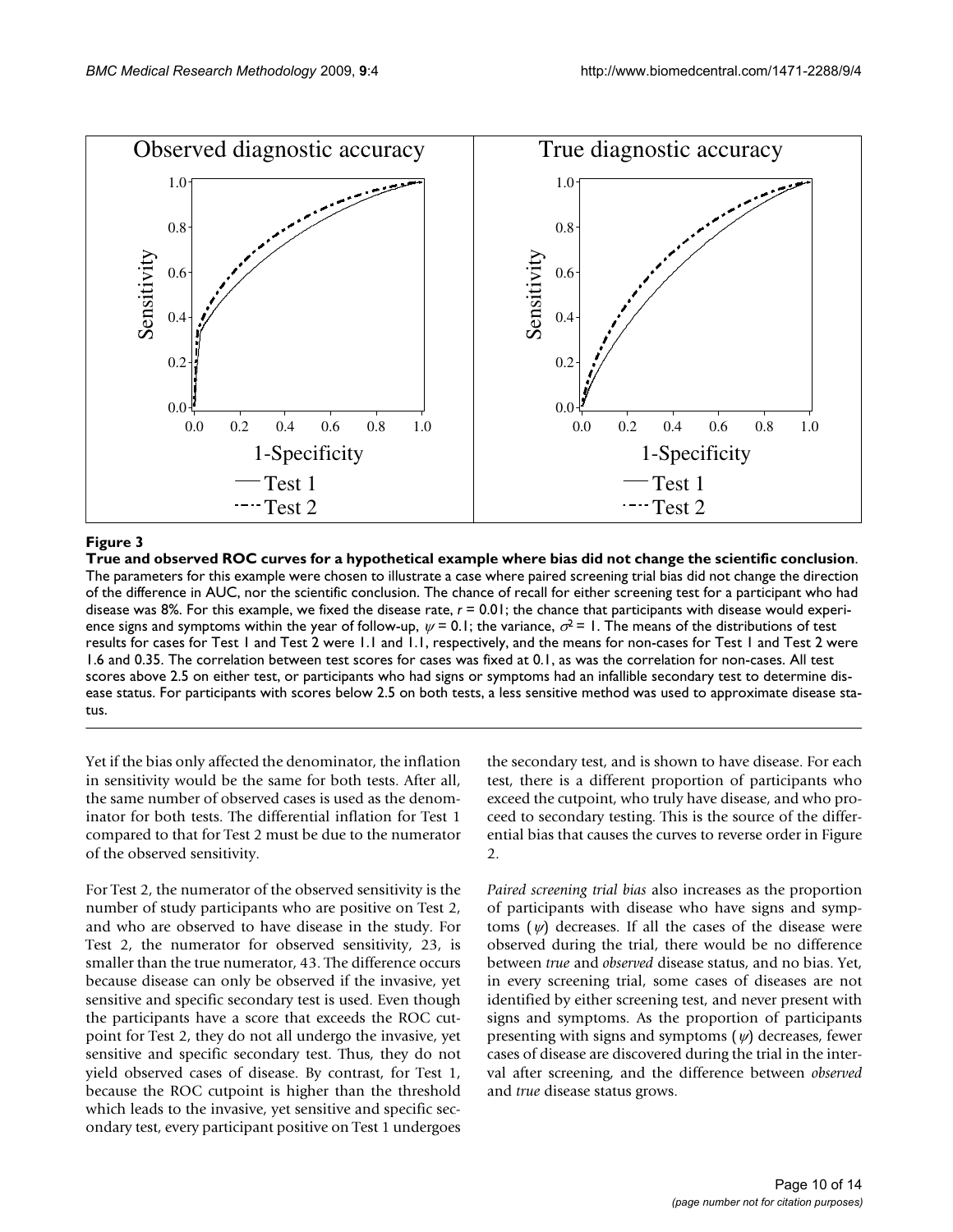<span id="page-9-0"></span>

# True and observed ROC curves for a hypothetical exampl **Figure 3** e where bias did not change the scientific conclusion

**True and observed ROC curves for a hypothetical example where bias did not change the scientific conclusion**. The parameters for this example were chosen to illustrate a case where paired screening trial bias did not change the direction of the difference in AUC, nor the scientific conclusion. The chance of recall for either screening test for a participant who had disease was 8%. For this example, we fixed the disease rate, *r* = 0.01; the chance that participants with disease would experience signs and symptoms within the year of follow-up,  $\psi = 0.1$ ; the variance,  $\sigma^2 = 1$ . The means of the distributions of test results for cases for Test 1 and Test 2 were 1.1 and 1.1, respectively, and the means for non-cases for Test 1 and Test 2 were 1.6 and 0.35. The correlation between test scores for cases was fixed at 0.1, as was the correlation for non-cases. All test scores above 2.5 on either test, or participants who had signs or symptoms had an infallible secondary test to determine disease status. For participants with scores below 2.5 on both tests, a less sensitive method was used to approximate disease status.

Yet if the bias only affected the denominator, the inflation in sensitivity would be the same for both tests. After all, the same number of observed cases is used as the denominator for both tests. The differential inflation for Test 1 compared to that for Test 2 must be due to the numerator of the observed sensitivity.

For Test 2, the numerator of the observed sensitivity is the number of study participants who are positive on Test 2, and who are observed to have disease in the study. For Test 2, the numerator for observed sensitivity, 23, is smaller than the true numerator, 43. The difference occurs because disease can only be observed if the invasive, yet sensitive and specific secondary test is used. Even though the participants have a score that exceeds the ROC cutpoint for Test 2, they do not all undergo the invasive, yet sensitive and specific secondary test. Thus, they do not yield observed cases of disease. By contrast, for Test 1, because the ROC cutpoint is higher than the threshold which leads to the invasive, yet sensitive and specific secondary test, every participant positive on Test 1 undergoes the secondary test, and is shown to have disease. For each test, there is a different proportion of participants who exceed the cutpoint, who truly have disease, and who proceed to secondary testing. This is the source of the differential bias that causes the curves to reverse order in Figure [2](#page-8-0).

*Paired screening trial bias* also increases as the proportion of participants with disease who have signs and symptoms  $(\psi)$  decreases. If all the cases of the disease were observed during the trial, there would be no difference between *true* and *observed* disease status, and no bias. Yet, in every screening trial, some cases of diseases are not identified by either screening test, and never present with signs and symptoms. As the proportion of participants presenting with signs and symptoms  $(\psi)$  decreases, fewer cases of disease are discovered during the trial in the interval after screening, and the difference between *observed* and *true* disease status grows.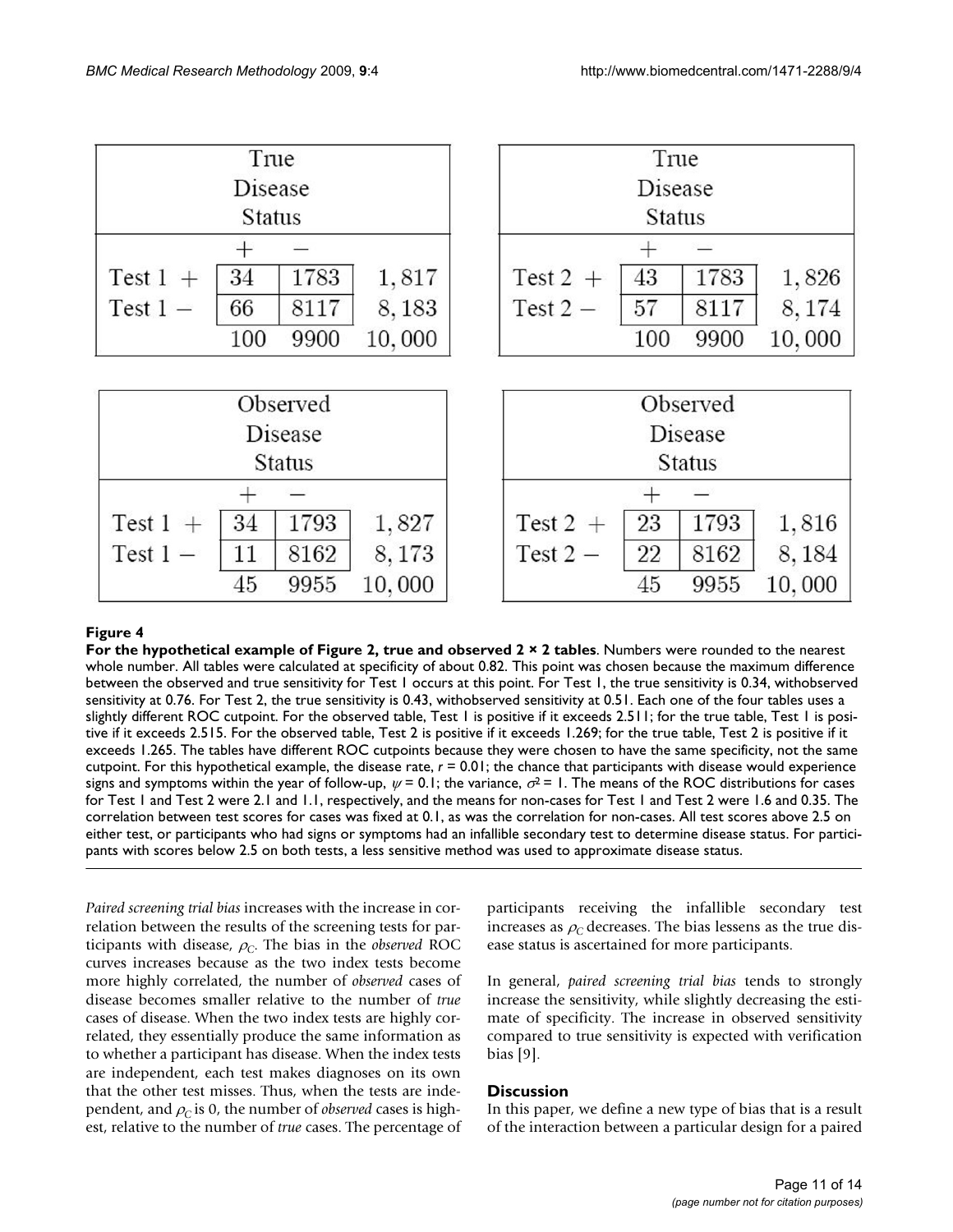<span id="page-10-0"></span>

# Figure 4

**For the hypothetical example of Figure 2, true and observed 2 × 2 tables**. Numbers were rounded to the nearest whole number. All tables were calculated at specificity of about 0.82. This point was chosen because the maximum difference between the observed and true sensitivity for Test 1 occurs at this point. For Test 1, the true sensitivity is 0.34, withobserved sensitivity at 0.76. For Test 2, the true sensitivity is 0.43, withobserved sensitivity at 0.51. Each one of the four tables uses a slightly different ROC cutpoint. For the observed table, Test 1 is positive if it exceeds 2.511; for the true table, Test 1 is positive if it exceeds 2.515. For the observed table, Test 2 is positive if it exceeds 1.269; for the true table, Test 2 is positive if it exceeds 1.265. The tables have different ROC cutpoints because they were chosen to have the same specificity, not the same cutpoint. For this hypothetical example, the disease rate, *r* = 0.01; the chance that participants with disease would experience signs and symptoms within the year of follow-up,  $\psi = 0.1$ ; the variance,  $\sigma^2 = 1$ . The means of the ROC distributions for cases for Test 1 and Test 2 were 2.1 and 1.1, respectively, and the means for non-cases for Test 1 and Test 2 were 1.6 and 0.35. The correlation between test scores for cases was fixed at 0.1, as was the correlation for non-cases. All test scores above 2.5 on either test, or participants who had signs or symptoms had an infallible secondary test to determine disease status. For participants with scores below 2.5 on both tests, a less sensitive method was used to approximate disease status.

*Paired screening trial bias* increases with the increase in correlation between the results of the screening tests for participants with disease,  $\rho_c$ . The bias in the *observed* ROC curves increases because as the two index tests become more highly correlated, the number of *observed* cases of disease becomes smaller relative to the number of *true* cases of disease. When the two index tests are highly correlated, they essentially produce the same information as to whether a participant has disease. When the index tests are independent, each test makes diagnoses on its own that the other test misses. Thus, when the tests are independent, and  $\rho_c$  is 0, the number of *observed* cases is highest, relative to the number of *true* cases. The percentage of participants receiving the infallible secondary test increases as  $\rho_c$  decreases. The bias lessens as the true disease status is ascertained for more participants.

In general, *paired screening trial bias* tends to strongly increase the sensitivity, while slightly decreasing the estimate of specificity. The increase in observed sensitivity compared to true sensitivity is expected with verification bias [[9](#page-12-7)].

### **Discussion**

In this paper, we define a new type of bias that is a result of the interaction between a particular design for a paired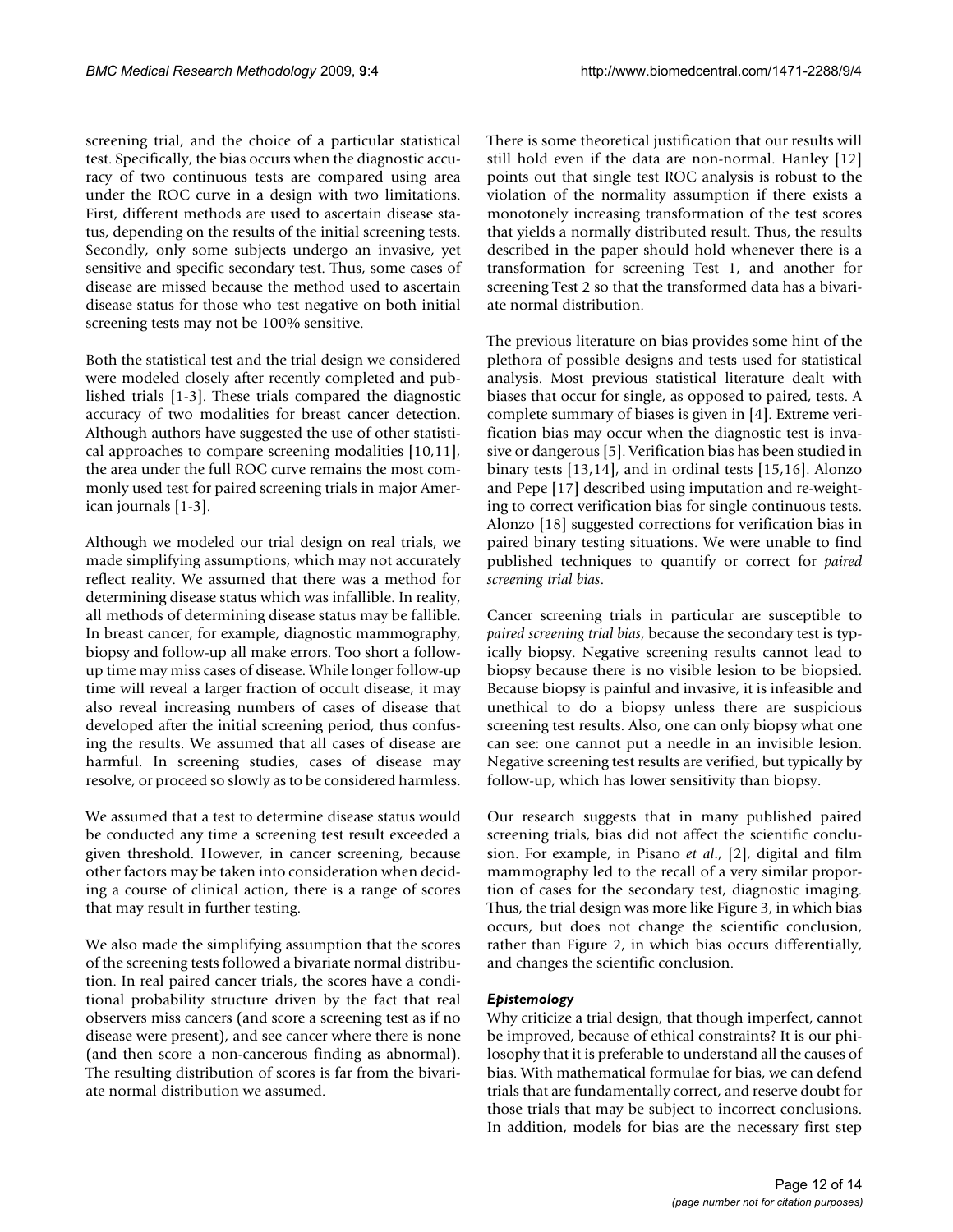screening trial, and the choice of a particular statistical test. Specifically, the bias occurs when the diagnostic accuracy of two continuous tests are compared using area under the ROC curve in a design with two limitations. First, different methods are used to ascertain disease status, depending on the results of the initial screening tests. Secondly, only some subjects undergo an invasive, yet sensitive and specific secondary test. Thus, some cases of disease are missed because the method used to ascertain disease status for those who test negative on both initial screening tests may not be 100% sensitive.

Both the statistical test and the trial design we considered were modeled closely after recently completed and published trials [[1](#page-12-0)[-3\]](#page-12-1). These trials compared the diagnostic accuracy of two modalities for breast cancer detection. Although authors have suggested the use of other statistical approaches to compare screening modalities [[10](#page-12-8)[,11](#page-12-9)], the area under the full ROC curve remains the most commonly used test for paired screening trials in major American journals [\[1-](#page-12-0)[3](#page-12-1)].

Although we modeled our trial design on real trials, we made simplifying assumptions, which may not accurately reflect reality. We assumed that there was a method for determining disease status which was infallible. In reality, all methods of determining disease status may be fallible. In breast cancer, for example, diagnostic mammography, biopsy and follow-up all make errors. Too short a followup time may miss cases of disease. While longer follow-up time will reveal a larger fraction of occult disease, it may also reveal increasing numbers of cases of disease that developed after the initial screening period, thus confusing the results. We assumed that all cases of disease are harmful. In screening studies, cases of disease may resolve, or proceed so slowly as to be considered harmless.

We assumed that a test to determine disease status would be conducted any time a screening test result exceeded a given threshold. However, in cancer screening, because other factors may be taken into consideration when deciding a course of clinical action, there is a range of scores that may result in further testing.

We also made the simplifying assumption that the scores of the screening tests followed a bivariate normal distribution. In real paired cancer trials, the scores have a conditional probability structure driven by the fact that real observers miss cancers (and score a screening test as if no disease were present), and see cancer where there is none (and then score a non-cancerous finding as abnormal). The resulting distribution of scores is far from the bivariate normal distribution we assumed.

There is some theoretical justification that our results will still hold even if the data are non-normal. Hanley [[12\]](#page-12-10) points out that single test ROC analysis is robust to the violation of the normality assumption if there exists a monotonely increasing transformation of the test scores that yields a normally distributed result. Thus, the results described in the paper should hold whenever there is a transformation for screening Test 1, and another for screening Test 2 so that the transformed data has a bivariate normal distribution.

The previous literature on bias provides some hint of the plethora of possible designs and tests used for statistical analysis. Most previous statistical literature dealt with biases that occur for single, as opposed to paired, tests. A complete summary of biases is given in [[4](#page-12-2)]. Extreme verification bias may occur when the diagnostic test is invasive or dangerous [[5](#page-12-3)]. Verification bias has been studied in binary tests [[13,](#page-12-11)[14](#page-12-12)], and in ordinal tests [\[15](#page-13-0),[16\]](#page-13-1). Alonzo and Pepe [[17\]](#page-13-2) described using imputation and re-weighting to correct verification bias for single continuous tests. Alonzo [[18\]](#page-13-3) suggested corrections for verification bias in paired binary testing situations. We were unable to find published techniques to quantify or correct for *paired screening trial bias*.

Cancer screening trials in particular are susceptible to *paired screening trial bias*, because the secondary test is typically biopsy. Negative screening results cannot lead to biopsy because there is no visible lesion to be biopsied. Because biopsy is painful and invasive, it is infeasible and unethical to do a biopsy unless there are suspicious screening test results. Also, one can only biopsy what one can see: one cannot put a needle in an invisible lesion. Negative screening test results are verified, but typically by follow-up, which has lower sensitivity than biopsy.

Our research suggests that in many published paired screening trials, bias did not affect the scientific conclusion. For example, in Pisano *et al*., [\[2\]](#page-12-13), digital and film mammography led to the recall of a very similar proportion of cases for the secondary test, diagnostic imaging. Thus, the trial design was more like Figure [3](#page-9-0), in which bias occurs, but does not change the scientific conclusion, rather than Figure [2](#page-8-0), in which bias occurs differentially, and changes the scientific conclusion.

### *Epistemology*

Why criticize a trial design, that though imperfect, cannot be improved, because of ethical constraints? It is our philosophy that it is preferable to understand all the causes of bias. With mathematical formulae for bias, we can defend trials that are fundamentally correct, and reserve doubt for those trials that may be subject to incorrect conclusions. In addition, models for bias are the necessary first step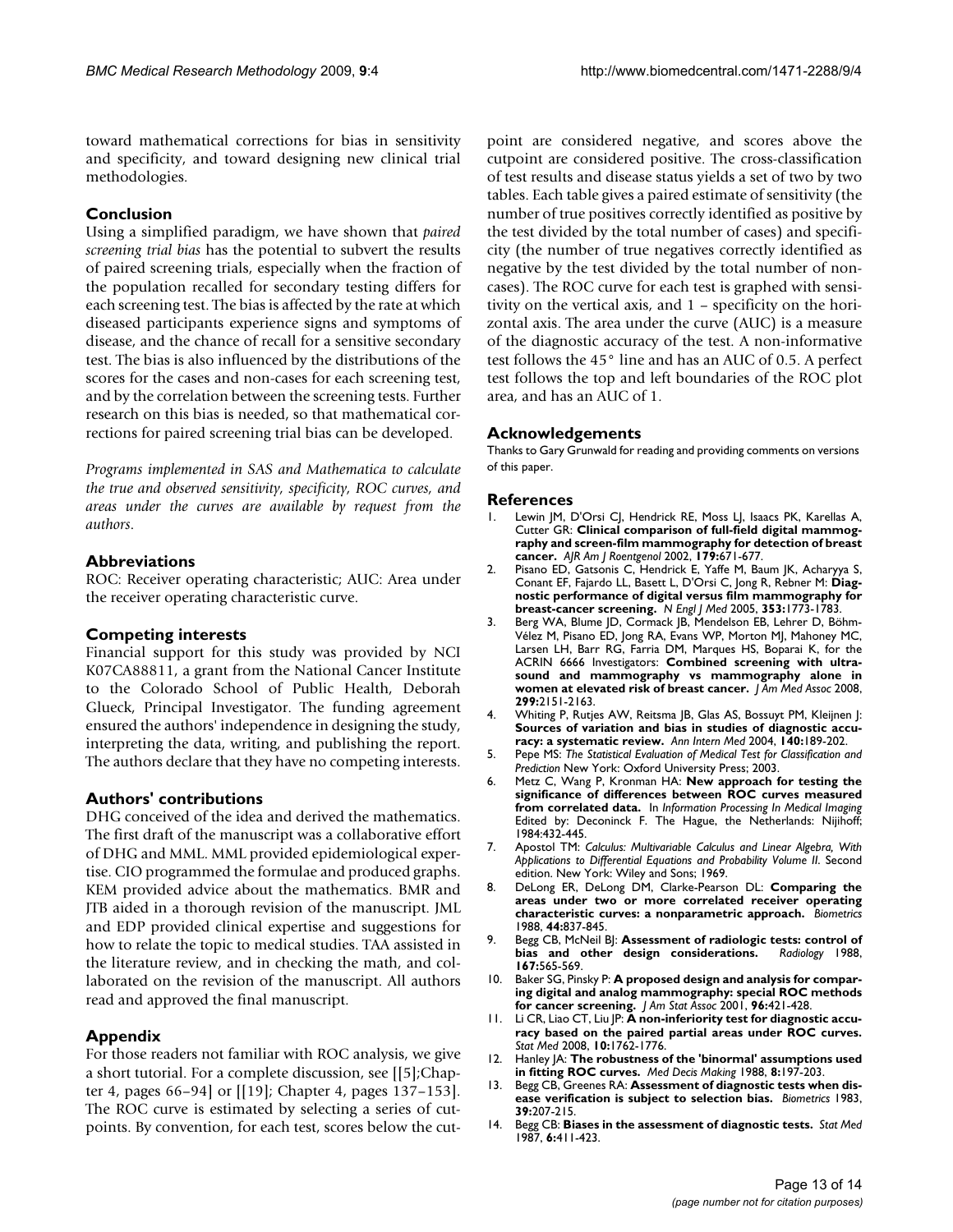toward mathematical corrections for bias in sensitivity and specificity, and toward designing new clinical trial methodologies.

### **Conclusion**

Using a simplified paradigm, we have shown that *paired screening trial bias* has the potential to subvert the results of paired screening trials, especially when the fraction of the population recalled for secondary testing differs for each screening test. The bias is affected by the rate at which diseased participants experience signs and symptoms of disease, and the chance of recall for a sensitive secondary test. The bias is also influenced by the distributions of the scores for the cases and non-cases for each screening test, and by the correlation between the screening tests. Further research on this bias is needed, so that mathematical corrections for paired screening trial bias can be developed.

*Programs implemented in SAS and Mathematica to calculate the true and observed sensitivity, specificity, ROC curves, and areas under the curves are available by request from the authors*.

### **Abbreviations**

ROC: Receiver operating characteristic; AUC: Area under the receiver operating characteristic curve.

### **Competing interests**

Financial support for this study was provided by NCI K07CA88811, a grant from the National Cancer Institute to the Colorado School of Public Health, Deborah Glueck, Principal Investigator. The funding agreement ensured the authors' independence in designing the study, interpreting the data, writing, and publishing the report. The authors declare that they have no competing interests.

# **Authors' contributions**

DHG conceived of the idea and derived the mathematics. The first draft of the manuscript was a collaborative effort of DHG and MML. MML provided epidemiological expertise. CIO programmed the formulae and produced graphs. KEM provided advice about the mathematics. BMR and JTB aided in a thorough revision of the manuscript. JML and EDP provided clinical expertise and suggestions for how to relate the topic to medical studies. TAA assisted in the literature review, and in checking the math, and collaborated on the revision of the manuscript. All authors read and approved the final manuscript.

# **Appendix**

For those readers not familiar with ROC analysis, we give a short tutorial. For a complete discussion, see [[[5](#page-12-3)];Chapter 4, pages 66–94] or [[[19](#page-13-4)]; Chapter 4, pages 137–153]. The ROC curve is estimated by selecting a series of cutpoints. By convention, for each test, scores below the cutpoint are considered negative, and scores above the cutpoint are considered positive. The cross-classification of test results and disease status yields a set of two by two tables. Each table gives a paired estimate of sensitivity (the number of true positives correctly identified as positive by the test divided by the total number of cases) and specificity (the number of true negatives correctly identified as negative by the test divided by the total number of noncases). The ROC curve for each test is graphed with sensitivity on the vertical axis, and 1 – specificity on the horizontal axis. The area under the curve (AUC) is a measure of the diagnostic accuracy of the test. A non-informative test follows the 45° line and has an AUC of 0.5. A perfect test follows the top and left boundaries of the ROC plot area, and has an AUC of 1.

### **Acknowledgements**

Thanks to Gary Grunwald for reading and providing comments on versions of this paper.

#### **References**

- <span id="page-12-0"></span>Lewin JM, D'Orsi CJ, Hendrick RE, Moss LJ, Isaacs PK, Karellas A, Cutter GR: **[Clinical comparison of full-field digital mammog](http://www.ncbi.nlm.nih.gov/entrez/query.fcgi?cmd=Retrieve&db=PubMed&dopt=Abstract&list_uids=12185042)[raphy and screen-film mammography for detection of breast](http://www.ncbi.nlm.nih.gov/entrez/query.fcgi?cmd=Retrieve&db=PubMed&dopt=Abstract&list_uids=12185042) [cancer.](http://www.ncbi.nlm.nih.gov/entrez/query.fcgi?cmd=Retrieve&db=PubMed&dopt=Abstract&list_uids=12185042)** *AJR Am J Roentgenol* 2002, **179:**671-677.
- <span id="page-12-13"></span>2. Pisano ED, Gatsonis C, Hendrick E, Yaffe M, Baum JK, Acharyya S, Conant EF, Fajardo LL, Basett L, D'Orsi C, Jong R, Rebner M: **[Diag](http://www.ncbi.nlm.nih.gov/entrez/query.fcgi?cmd=Retrieve&db=PubMed&dopt=Abstract&list_uids=16169887)[nostic performance of digital versus film mammography for](http://www.ncbi.nlm.nih.gov/entrez/query.fcgi?cmd=Retrieve&db=PubMed&dopt=Abstract&list_uids=16169887) [breast-cancer screening.](http://www.ncbi.nlm.nih.gov/entrez/query.fcgi?cmd=Retrieve&db=PubMed&dopt=Abstract&list_uids=16169887)** *N Engl J Med* 2005, **353:**1773-1783.
- <span id="page-12-1"></span>3. Berg WA, Blume JD, Cormack JB, Mendelson EB, Lehrer D, Böhm-Vélez M, Pisano ED, Jong RA, Evans WP, Morton MJ, Mahoney MC, Larsen LH, Barr RG, Farria DM, Marques HS, Boparai K, for the ACRIN 6666 Investigators: **Combined screening with ultrasound and mammography vs mammography alone in women at elevated risk of breast cancer.** *J Am Med Assoc* 2008, **299:**2151-2163.
- <span id="page-12-2"></span>4. Whiting P, Rutjes AW, Reitsma JB, Glas AS, Bossuyt PM, Kleijnen J: **[Sources of variation and bias in studies of diagnostic accu](http://www.ncbi.nlm.nih.gov/entrez/query.fcgi?cmd=Retrieve&db=PubMed&dopt=Abstract&list_uids=14757617)[racy: a systematic review.](http://www.ncbi.nlm.nih.gov/entrez/query.fcgi?cmd=Retrieve&db=PubMed&dopt=Abstract&list_uids=14757617)** *Ann Intern Med* 2004, **140:**189-202.
- <span id="page-12-3"></span>5. Pepe MS: *The Statistical Evaluation of Medical Test for Classification and Prediction* New York: Oxford University Press; 2003.
- <span id="page-12-4"></span>6. Metz C, Wang P, Kronman HA: **New approach for testing the significance of differences between ROC curves measured from correlated data.** In *Information Processing In Medical Imaging* Edited by: Deconinck F. The Hague, the Netherlands: Nijihoff; 1984:432-445.
- <span id="page-12-5"></span>7. Apostol TM: *Calculus: Multivariable Calculus and Linear Algebra, With Applications to Differential Equations and Probability Volume II*. Second edition. New York: Wiley and Sons; 1969.
- <span id="page-12-6"></span>8. DeLong ER, DeLong DM, Clarke-Pearson DL: **[Comparing the](http://www.ncbi.nlm.nih.gov/entrez/query.fcgi?cmd=Retrieve&db=PubMed&dopt=Abstract&list_uids=3203132) [areas under two or more correlated receiver operating](http://www.ncbi.nlm.nih.gov/entrez/query.fcgi?cmd=Retrieve&db=PubMed&dopt=Abstract&list_uids=3203132) [characteristic curves: a nonparametric approach.](http://www.ncbi.nlm.nih.gov/entrez/query.fcgi?cmd=Retrieve&db=PubMed&dopt=Abstract&list_uids=3203132)** *Biometrics* 1988, **44:**837-845.
- <span id="page-12-7"></span>9. Begg CB, McNeil BJ: **[Assessment of radiologic tests: control of](http://www.ncbi.nlm.nih.gov/entrez/query.fcgi?cmd=Retrieve&db=PubMed&dopt=Abstract&list_uids=3357976)** [bias and other design considerations.](http://www.ncbi.nlm.nih.gov/entrez/query.fcgi?cmd=Retrieve&db=PubMed&dopt=Abstract&list_uids=3357976) **167:**565-569.
- <span id="page-12-8"></span>10. Baker SG, Pinsky P: **A proposed design and analysis for comparing digital and analog mammography: special ROC methods for cancer screening.** *J Am Stat Assoc* 2001, **96:**421-428.
- <span id="page-12-9"></span>11. Li CR, Liao CT, Liu JP: **A non-inferiority test for diagnostic accuracy based on the paired partial areas under ROC curves.** *Stat Med* 2008, **10:**1762-1776.
- <span id="page-12-10"></span>12. Hanley JA: **[The robustness of the 'binormal' assumptions used](http://www.ncbi.nlm.nih.gov/entrez/query.fcgi?cmd=Retrieve&db=PubMed&dopt=Abstract&list_uids=3398748) [in fitting ROC curves.](http://www.ncbi.nlm.nih.gov/entrez/query.fcgi?cmd=Retrieve&db=PubMed&dopt=Abstract&list_uids=3398748)** *Med Decis Making* 1988, **8:**197-203.
- <span id="page-12-11"></span>13. Begg CB, Greenes RA: **[Assessment of diagnostic tests when dis](http://www.ncbi.nlm.nih.gov/entrez/query.fcgi?cmd=Retrieve&db=PubMed&dopt=Abstract&list_uids=6871349)[ease verification is subject to selection bias.](http://www.ncbi.nlm.nih.gov/entrez/query.fcgi?cmd=Retrieve&db=PubMed&dopt=Abstract&list_uids=6871349)** *Biometrics* 1983, **39:**207-215.
- <span id="page-12-12"></span>14. Begg CB: **[Biases in the assessment of diagnostic tests.](http://www.ncbi.nlm.nih.gov/entrez/query.fcgi?cmd=Retrieve&db=PubMed&dopt=Abstract&list_uids=3114858)** *Stat Med* 1987, **6:**411-423.